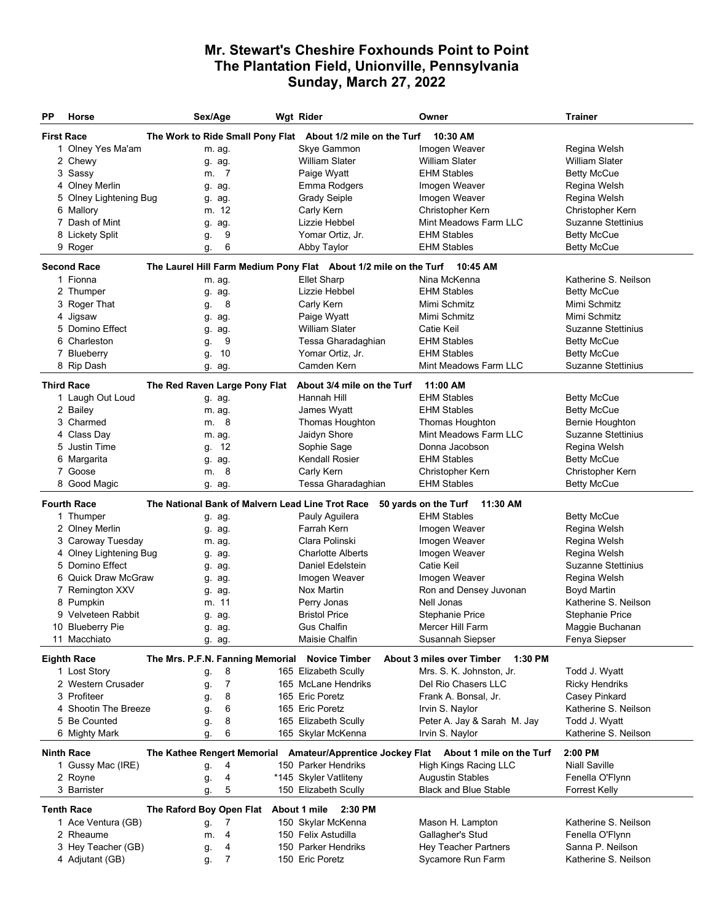## **Mr. Stewart's Cheshire Foxhounds Point to Point The Plantation Field, Unionville, Pennsylvania Sunday, March 27, 2022**

| РP                                                                                                 | Horse                                                                                        | Sex/Age |                |  | Wgt Rider                                                  | Owner                                  | <b>Trainer</b>            |  |  |  |  |  |
|----------------------------------------------------------------------------------------------------|----------------------------------------------------------------------------------------------|---------|----------------|--|------------------------------------------------------------|----------------------------------------|---------------------------|--|--|--|--|--|
|                                                                                                    | <b>First Race</b><br>The Work to Ride Small Pony Flat About 1/2 mile on the Turf<br>10:30 AM |         |                |  |                                                            |                                        |                           |  |  |  |  |  |
|                                                                                                    | 1 Olney Yes Ma'am                                                                            |         | m. ag.         |  | Skye Gammon                                                | Imogen Weaver                          | Regina Welsh              |  |  |  |  |  |
|                                                                                                    | 2 Chewy                                                                                      |         | g. ag.         |  | <b>William Slater</b>                                      | <b>William Slater</b>                  | William Slater            |  |  |  |  |  |
|                                                                                                    | 3 Sassy                                                                                      | m.      | -7             |  | Paige Wyatt                                                | <b>EHM Stables</b>                     | <b>Betty McCue</b>        |  |  |  |  |  |
|                                                                                                    | 4 Olney Merlin                                                                               |         | g. ag.         |  | Emma Rodgers                                               | Imogen Weaver                          | Regina Welsh              |  |  |  |  |  |
|                                                                                                    | 5 Olney Lightening Bug                                                                       |         | g. ag.         |  | <b>Grady Seiple</b>                                        | Imogen Weaver                          | Regina Welsh              |  |  |  |  |  |
|                                                                                                    | 6 Mallory                                                                                    |         | m. 12          |  | Carly Kern                                                 | Christopher Kern                       | Christopher Kern          |  |  |  |  |  |
|                                                                                                    | 7 Dash of Mint                                                                               | g.      | ag.            |  | Lizzie Hebbel                                              | Mint Meadows Farm LLC                  | <b>Suzanne Stettinius</b> |  |  |  |  |  |
|                                                                                                    | 8 Lickety Split                                                                              | g.      | 9              |  | Yomar Ortiz, Jr.                                           | <b>EHM Stables</b>                     | <b>Betty McCue</b>        |  |  |  |  |  |
|                                                                                                    | 9 Roger                                                                                      | g.      | 6              |  | Abby Taylor                                                | <b>EHM Stables</b>                     | <b>Betty McCue</b>        |  |  |  |  |  |
| <b>Second Race</b><br>The Laurel Hill Farm Medium Pony Flat About 1/2 mile on the Turf<br>10:45 AM |                                                                                              |         |                |  |                                                            |                                        |                           |  |  |  |  |  |
|                                                                                                    | 1 Fionna                                                                                     |         | m. ag.         |  | <b>Ellet Sharp</b>                                         | Nina McKenna                           | Katherine S. Neilson      |  |  |  |  |  |
|                                                                                                    | 2 Thumper                                                                                    |         | g. ag.         |  | Lizzie Hebbel                                              | <b>EHM Stables</b>                     | <b>Betty McCue</b>        |  |  |  |  |  |
|                                                                                                    | 3 Roger That                                                                                 | g.      | 8              |  | Carly Kern                                                 | Mimi Schmitz                           | Mimi Schmitz              |  |  |  |  |  |
|                                                                                                    | 4 Jigsaw                                                                                     | g.      | ag.            |  | Paige Wyatt                                                | Mimi Schmitz                           | Mimi Schmitz              |  |  |  |  |  |
|                                                                                                    | 5 Domino Effect                                                                              | g.      | ag.            |  | William Slater                                             | Catie Keil                             | <b>Suzanne Stettinius</b> |  |  |  |  |  |
|                                                                                                    | 6 Charleston                                                                                 | g.      | 9              |  | Tessa Gharadaghian                                         | <b>EHM Stables</b>                     | <b>Betty McCue</b>        |  |  |  |  |  |
|                                                                                                    | 7 Blueberry                                                                                  | g.      | 10             |  | Yomar Ortiz, Jr.                                           | <b>EHM Stables</b>                     | <b>Betty McCue</b>        |  |  |  |  |  |
|                                                                                                    | 8 Rip Dash                                                                                   |         | g. ag.         |  | Camden Kern                                                | Mint Meadows Farm LLC                  | <b>Suzanne Stettinius</b> |  |  |  |  |  |
|                                                                                                    | 11:00 AM<br><b>Third Race</b><br>The Red Raven Large Pony Flat<br>About 3/4 mile on the Turf |         |                |  |                                                            |                                        |                           |  |  |  |  |  |
|                                                                                                    | 1 Laugh Out Loud                                                                             |         | g. ag.         |  | Hannah Hill                                                | <b>EHM Stables</b>                     | <b>Betty McCue</b>        |  |  |  |  |  |
|                                                                                                    | 2 Bailey                                                                                     |         | m. ag.         |  | James Wyatt                                                | <b>EHM Stables</b>                     | <b>Betty McCue</b>        |  |  |  |  |  |
|                                                                                                    | 3 Charmed                                                                                    |         | m. 8           |  | Thomas Houghton                                            | Thomas Houghton                        | <b>Bernie Houghton</b>    |  |  |  |  |  |
|                                                                                                    | 4 Class Day                                                                                  |         | m. ag.         |  | Jaidyn Shore                                               | Mint Meadows Farm LLC                  | <b>Suzanne Stettinius</b> |  |  |  |  |  |
|                                                                                                    | 5 Justin Time                                                                                | g.      | 12             |  | Sophie Sage                                                | Donna Jacobson                         | Regina Welsh              |  |  |  |  |  |
|                                                                                                    | 6 Margarita                                                                                  |         | g. ag.         |  | Kendall Rosier                                             | <b>EHM Stables</b>                     | <b>Betty McCue</b>        |  |  |  |  |  |
|                                                                                                    | 7 Goose                                                                                      | m.      | 8              |  | Carly Kern                                                 | Christopher Kern                       | Christopher Kern          |  |  |  |  |  |
| 8                                                                                                  | Good Magic                                                                                   |         | g. ag.         |  | Tessa Gharadaghian                                         | <b>EHM Stables</b>                     | <b>Betty McCue</b>        |  |  |  |  |  |
|                                                                                                    | <b>Fourth Race</b>                                                                           |         |                |  | The National Bank of Malvern Lead Line Trot Race           | 50 yards on the Turf 11:30 AM          |                           |  |  |  |  |  |
|                                                                                                    | 1 Thumper                                                                                    |         | g. ag.         |  | Pauly Aguilera                                             | <b>EHM Stables</b>                     | <b>Betty McCue</b>        |  |  |  |  |  |
|                                                                                                    | 2 Olney Merlin                                                                               |         | g. ag.         |  | Farrah Kern                                                | Imogen Weaver                          | Regina Welsh              |  |  |  |  |  |
|                                                                                                    | 3 Caroway Tuesday                                                                            |         | m. ag.         |  | Clara Polinski                                             | Imogen Weaver                          | Regina Welsh              |  |  |  |  |  |
|                                                                                                    | 4 Olney Lightening Bug                                                                       |         | g. ag.         |  | <b>Charlotte Alberts</b>                                   | Imogen Weaver                          | Regina Welsh              |  |  |  |  |  |
|                                                                                                    | 5 Domino Effect                                                                              |         | g. ag.         |  | Daniel Edelstein                                           | Catie Keil                             | <b>Suzanne Stettinius</b> |  |  |  |  |  |
|                                                                                                    | 6 Quick Draw McGraw                                                                          |         | g. ag.         |  | Imogen Weaver                                              | Imogen Weaver                          | Regina Welsh              |  |  |  |  |  |
|                                                                                                    | 7 Remington XXV                                                                              |         | g. ag.         |  | Nox Martin                                                 | Ron and Densey Juvonan                 | Boyd Martin               |  |  |  |  |  |
|                                                                                                    | 8 Pumpkin                                                                                    |         | m. 11          |  | Perry Jonas                                                | Nell Jonas                             | Katherine S. Neilson      |  |  |  |  |  |
|                                                                                                    | 9 Velveteen Rabbit                                                                           |         | g. ag.         |  | <b>Bristol Price</b>                                       | <b>Stephanie Price</b>                 | <b>Stephanie Price</b>    |  |  |  |  |  |
|                                                                                                    | 10 Blueberry Pie                                                                             |         | g. ag.         |  | Gus Chalfin                                                | Mercer Hill Farm                       | Maggie Buchanan           |  |  |  |  |  |
|                                                                                                    | 11 Macchiato                                                                                 |         | g. ag.         |  | Maisie Chalfin                                             | Susannah Siepser                       | Fenya Siepser             |  |  |  |  |  |
|                                                                                                    | <b>Eighth Race</b>                                                                           |         |                |  | The Mrs. P.F.N. Fanning Memorial Novice Timber             | About 3 miles over Timber<br>$1:30$ PM |                           |  |  |  |  |  |
|                                                                                                    | 1 Lost Story                                                                                 | g.      | 8              |  | 165 Elizabeth Scully                                       | Mrs. S. K. Johnston, Jr.               | Todd J. Wyatt             |  |  |  |  |  |
|                                                                                                    | 2 Western Crusader                                                                           | g.      | $\overline{7}$ |  | 165 McLane Hendriks                                        | Del Rio Chasers LLC                    | <b>Ricky Hendriks</b>     |  |  |  |  |  |
|                                                                                                    | 3 Profiteer                                                                                  | g.      | 8              |  | 165 Eric Poretz                                            | Frank A. Bonsal, Jr.                   | Casey Pinkard             |  |  |  |  |  |
|                                                                                                    | 4 Shootin The Breeze                                                                         | g.      | 6              |  | 165 Eric Poretz                                            | Irvin S. Naylor                        | Katherine S. Neilson      |  |  |  |  |  |
|                                                                                                    | 5 Be Counted                                                                                 | g.      | 8              |  | 165 Elizabeth Scully                                       | Peter A. Jay & Sarah M. Jay            | Todd J. Wyatt             |  |  |  |  |  |
|                                                                                                    | 6 Mighty Mark                                                                                | g.      | 6              |  | 165 Skylar McKenna                                         | Irvin S. Naylor                        | Katherine S. Neilson      |  |  |  |  |  |
|                                                                                                    | <b>Ninth Race</b>                                                                            |         |                |  | The Kathee Rengert Memorial Amateur/Apprentice Jockey Flat | About 1 mile on the Turf               | 2:00 PM                   |  |  |  |  |  |
|                                                                                                    | 1 Gussy Mac (IRE)                                                                            | g.      | 4              |  | 150 Parker Hendriks                                        | High Kings Racing LLC                  | <b>Niall Saville</b>      |  |  |  |  |  |
|                                                                                                    | 2 Royne                                                                                      | g.      | 4              |  | *145 Skyler Vatliteny                                      | <b>Augustin Stables</b>                | Fenella O'Flynn           |  |  |  |  |  |
|                                                                                                    | 3 Barrister                                                                                  | g.      | 5              |  | 150 Elizabeth Scully                                       | <b>Black and Blue Stable</b>           | <b>Forrest Kelly</b>      |  |  |  |  |  |
| The Raford Boy Open Flat<br><b>Tenth Race</b><br>About 1 mile 2:30 PM                              |                                                                                              |         |                |  |                                                            |                                        |                           |  |  |  |  |  |
|                                                                                                    | 1 Ace Ventura (GB)                                                                           | g.      | 7              |  | 150 Skylar McKenna                                         | Mason H. Lampton                       | Katherine S. Neilson      |  |  |  |  |  |
|                                                                                                    | 2 Rheaume                                                                                    | m.      | 4              |  | 150 Felix Astudilla                                        | Gallagher's Stud                       | Fenella O'Flynn           |  |  |  |  |  |
|                                                                                                    | 3 Hey Teacher (GB)                                                                           | g.      | 4              |  | 150 Parker Hendriks                                        | Hey Teacher Partners                   | Sanna P. Neilson          |  |  |  |  |  |
|                                                                                                    | 4 Adjutant (GB)                                                                              | g.      | 7              |  | 150 Eric Poretz                                            | Sycamore Run Farm                      | Katherine S. Neilson      |  |  |  |  |  |